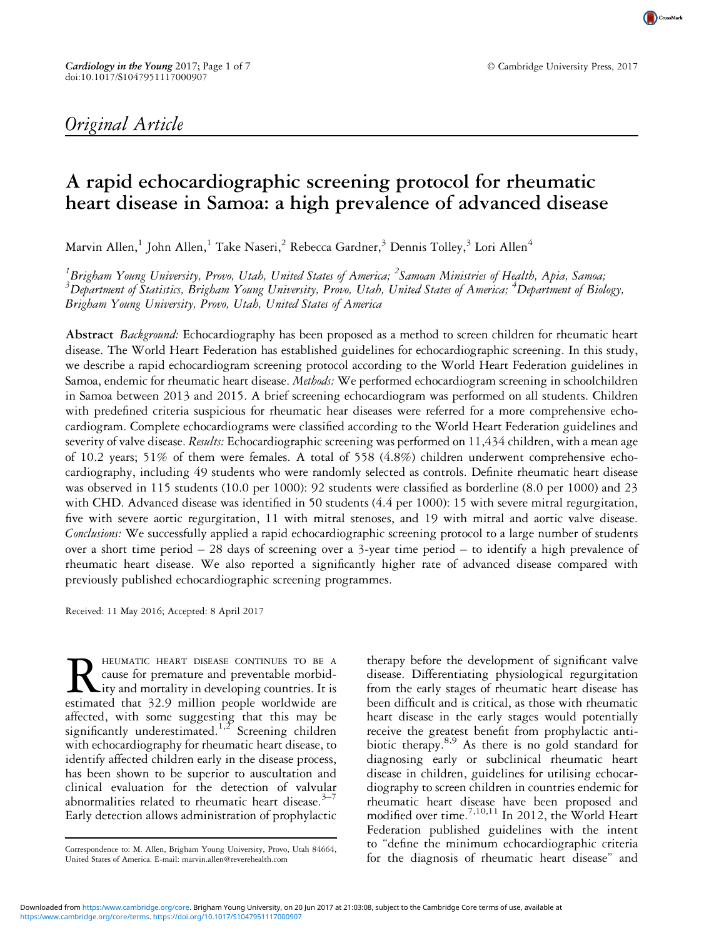CrossMark

# A rapid echocardiographic screening protocol for rheumatic heart disease in Samoa: a high prevalence of advanced disease

Marvin Allen,<sup>1</sup> John Allen,<sup>1</sup> Take Naseri,<sup>2</sup> Rebecca Gardner,<sup>3</sup> Dennis Tolley,<sup>3</sup> Lori Allen<sup>4</sup>

<sup>1</sup> Brigham Young University, Provo, Utah, United States of America; <sup>2</sup> Samoan Ministries of Health, Apia, Samoa;<br><sup>3</sup> Department of Statistics, Brigham Young University, Provo, Utah, United States of America; <sup>4</sup> Departme Department of Statistics, Brigham Young University, Provo, Utah, United States of America; <sup>4</sup>Department of Biology, Brigham Young University, Provo, Utah, United States of America

Abstract *Background:* Echocardiography has been proposed as a method to screen children for rheumatic heart disease. The World Heart Federation has established guidelines for echocardiographic screening. In this study, we describe a rapid echocardiogram screening protocol according to the World Heart Federation guidelines in Samoa, endemic for rheumatic heart disease. Methods: We performed echocardiogram screening in schoolchildren in Samoa between 2013 and 2015. A brief screening echocardiogram was performed on all students. Children with predefined criteria suspicious for rheumatic hear diseases were referred for a more comprehensive echocardiogram. Complete echocardiograms were classified according to the World Heart Federation guidelines and severity of valve disease. Results: Echocardiographic screening was performed on  $11,434$  children, with a mean age of 10.2 years; 51% of them were females. A total of 558 (4.8%) children underwent comprehensive echocardiography, including 49 students who were randomly selected as controls. Definite rheumatic heart disease was observed in 115 students (10.0 per 1000): 92 students were classified as borderline (8.0 per 1000) and 23 with CHD. Advanced disease was identified in 50 students (4.4 per 1000): 15 with severe mitral regurgitation, five with severe aortic regurgitation, 11 with mitral stenoses, and 19 with mitral and aortic valve disease. Conclusions: We successfully applied a rapid echocardiographic screening protocol to a large number of students over a short time period – 28 days of screening over a 3-year time period – to identify a high prevalence of rheumatic heart disease. We also reported a significantly higher rate of advanced disease compared with previously published echocardiographic screening programmes.

Received: 11 May 2016; Accepted: 8 April 2017

**REUMATIC HEART DISEASE CONTINUES TO BE A** cause for premature and preventable morbid-<br>ity and mortality in developing countries. It is<br>estimated that 32.9 million people worldwide are cause for premature and preventable morbidity and mortality in developing countries. It is estimated that 32.9 million people worldwide are affected, with some suggesting that this may be significantly underestimated.<sup>1,2</sup> Screening children with echocardiography for rheumatic heart disease, to identify affected children early in the disease process, has been shown to be superior to auscultation and clinical evaluation for the detection of valvular abnormalities related to rheumatic heart disease. $3^{-7}$ Early detection allows administration of prophylactic

therapy before the development of significant valve disease. Differentiating physiological regurgitation from the early stages of rheumatic heart disease has been difficult and is critical, as those with rheumatic heart disease in the early stages would potentially receive the greatest benefit from prophylactic antibiotic therapy.<sup>8,9</sup> As there is no gold standard for diagnosing early or subclinical rheumatic heart disease in children, guidelines for utilising echocardiography to screen children in countries endemic for rheumatic heart disease have been proposed and modified over time.<sup>7,10,11</sup> In 2012, the World Heart Federation published guidelines with the intent to "define the minimum echocardiographic criteria for the diagnosis of rheumatic heart disease" and Correspondence to: M. Allen, Brigham Young University, Provo, Utah 84664,

United States of America. E-mail: marvin.allen@reverehealth.com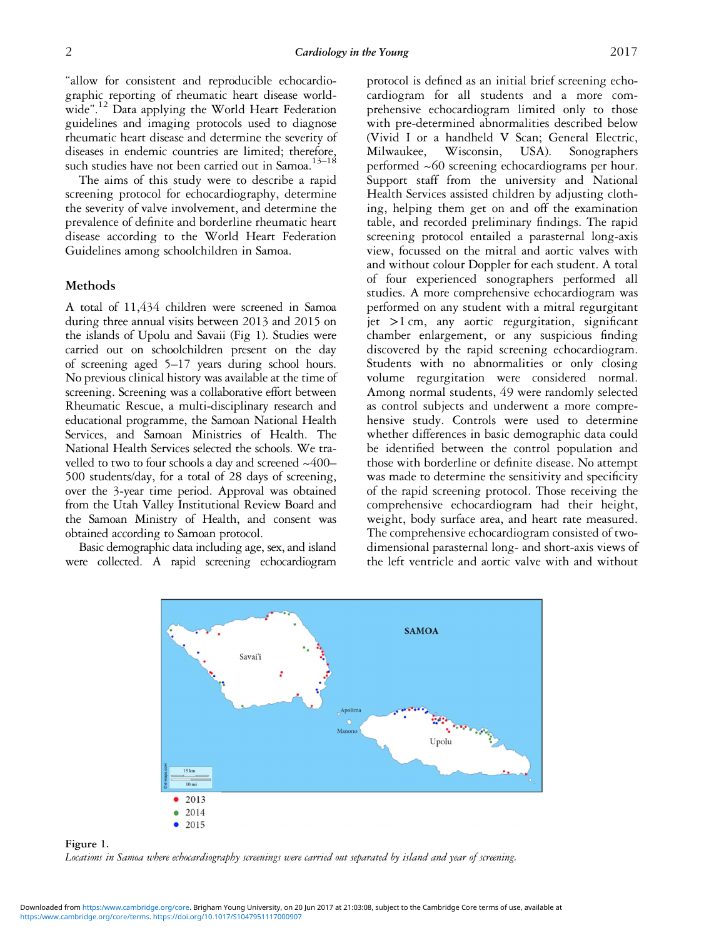"allow for consistent and reproducible echocardiographic reporting of rheumatic heart disease worldwide".<sup>12</sup> Data applying the World Heart Federation guidelines and imaging protocols used to diagnose rheumatic heart disease and determine the severity of diseases in endemic countries are limited; therefore, such studies have not been carried out in Samoa. $^{13-18}$ 

The aims of this study were to describe a rapid screening protocol for echocardiography, determine the severity of valve involvement, and determine the prevalence of definite and borderline rheumatic heart disease according to the World Heart Federation Guidelines among schoolchildren in Samoa.

# Methods

A total of 11,434 children were screened in Samoa during three annual visits between 2013 and 2015 on the islands of Upolu and Savaii (Fig 1). Studies were carried out on schoolchildren present on the day of screening aged 5–17 years during school hours. No previous clinical history was available at the time of screening. Screening was a collaborative effort between Rheumatic Rescue, a multi-disciplinary research and educational programme, the Samoan National Health Services, and Samoan Ministries of Health. The National Health Services selected the schools. We travelled to two to four schools a day and screened  $\sim$ 400– 500 students/day, for a total of 28 days of screening, over the 3-year time period. Approval was obtained from the Utah Valley Institutional Review Board and the Samoan Ministry of Health, and consent was obtained according to Samoan protocol.

Basic demographic data including age, sex, and island were collected. A rapid screening echocardiogram protocol is defined as an initial brief screening echocardiogram for all students and a more comprehensive echocardiogram limited only to those with pre-determined abnormalities described below (Vivid I or a handheld V Scan; General Electric, Milwaukee, Wisconsin, USA). Sonographers performed ~60 screening echocardiograms per hour. Support staff from the university and National Health Services assisted children by adjusting clothing, helping them get on and off the examination table, and recorded preliminary findings. The rapid screening protocol entailed a parasternal long-axis view, focussed on the mitral and aortic valves with and without colour Doppler for each student. A total of four experienced sonographers performed all studies. A more comprehensive echocardiogram was performed on any student with a mitral regurgitant  $jet$  >1 cm, any aortic regurgitation, significant chamber enlargement, or any suspicious finding discovered by the rapid screening echocardiogram. Students with no abnormalities or only closing volume regurgitation were considered normal. Among normal students, 49 were randomly selected as control subjects and underwent a more comprehensive study. Controls were used to determine whether differences in basic demographic data could be identified between the control population and those with borderline or definite disease. No attempt was made to determine the sensitivity and specificity of the rapid screening protocol. Those receiving the comprehensive echocardiogram had their height, weight, body surface area, and heart rate measured. The comprehensive echocardiogram consisted of twodimensional parasternal long- and short-axis views of the left ventricle and aortic valve with and without





Locations in Samoa where echocardiography screenings were carried out separated by island and year of screening.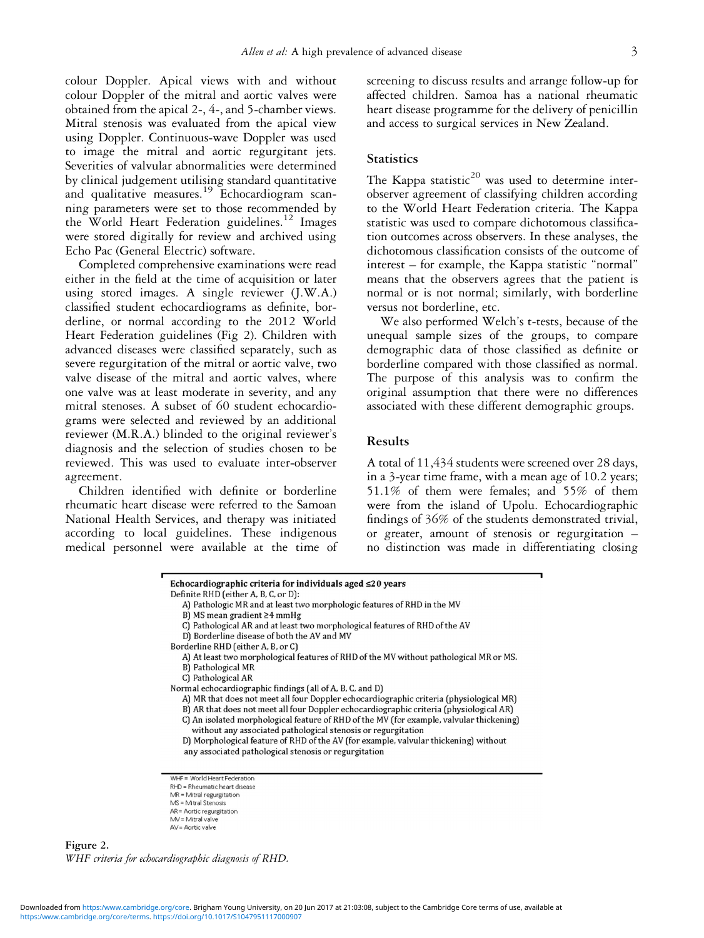colour Doppler. Apical views with and without colour Doppler of the mitral and aortic valves were obtained from the apical 2-, 4-, and 5-chamber views. Mitral stenosis was evaluated from the apical view using Doppler. Continuous-wave Doppler was used to image the mitral and aortic regurgitant jets. Severities of valvular abnormalities were determined by clinical judgement utilising standard quantitative and qualitative measures.<sup>19</sup> Echocardiogram scanning parameters were set to those recommended by the World Heart Federation guidelines.<sup>12</sup> Images were stored digitally for review and archived using Echo Pac (General Electric) software.

Completed comprehensive examinations were read either in the field at the time of acquisition or later using stored images. A single reviewer (J.W.A.) classified student echocardiograms as definite, borderline, or normal according to the 2012 World Heart Federation guidelines (Fig 2). Children with advanced diseases were classified separately, such as severe regurgitation of the mitral or aortic valve, two valve disease of the mitral and aortic valves, where one valve was at least moderate in severity, and any mitral stenoses. A subset of 60 student echocardiograms were selected and reviewed by an additional reviewer (M.R.A.) blinded to the original reviewer's diagnosis and the selection of studies chosen to be reviewed. This was used to evaluate inter-observer agreement.

Children identified with definite or borderline rheumatic heart disease were referred to the Samoan National Health Services, and therapy was initiated according to local guidelines. These indigenous medical personnel were available at the time of screening to discuss results and arrange follow-up for affected children. Samoa has a national rheumatic heart disease programme for the delivery of penicillin and access to surgical services in New Zealand.

# **Statistics**

The Kappa statistic<sup>20</sup> was used to determine interobserver agreement of classifying children according to the World Heart Federation criteria. The Kappa statistic was used to compare dichotomous classification outcomes across observers. In these analyses, the dichotomous classification consists of the outcome of interest – for example, the Kappa statistic "normal" means that the observers agrees that the patient is normal or is not normal; similarly, with borderline versus not borderline, etc.

We also performed Welch's t-tests, because of the unequal sample sizes of the groups, to compare demographic data of those classified as definite or borderline compared with those classified as normal. The purpose of this analysis was to confirm the original assumption that there were no differences associated with these different demographic groups.

# Results

A total of 11,434 students were screened over 28 days, in a 3-year time frame, with a mean age of 10.2 years; 51.1% of them were females; and 55% of them were from the island of Upolu. Echocardiographic findings of 36% of the students demonstrated trivial, or greater, amount of stenosis or regurgitation – no distinction was made in differentiating closing

Echocardiographic criteria for individuals aged  $\leq$ 20 years

- C) Pathological AR and at least two morphological features of RHD of the AV
- D) Borderline disease of both the AV and MV
- Borderline RHD (either A, B, or C)
	- A) At least two morphological features of RHD of the MV without pathological MR or MS. B) Pathological MR
	-
	- C) Pathological AR
- Normal echocardiographic findings (all of A, B, C, and D)
	- A) MR that does not meet all four Doppler echocardiographic criteria (physiological MR)
	- B) AR that does not meet all four Doppler echocardiographic criteria (physiological AR)
	- C) An isolated morphological feature of RHD of the MV (for example, valvular thickening) without any associated pathological stenosis or regurgitation
	- D) Morphological feature of RHD of the AV (for example, valvular thickening) without any associated pathological stenosis or regurgitation
- WHF = World Heart Federation
- RHD = Rheumatic heart disease MR = Mitral regurgitation MS = Mitral Stenosis AR = Aortic regurgitation
- MV = Mitral valve
- AV = Aortic valve

Figure 2.

Definite RHD (either A, B, C, or D): A) Pathologic MR and at least two morphologic features of RHD in the MV

B) MS mean gradient  $\geq 4$  mmHg

WHF criteria for echocardiographic diagnosis of RHD.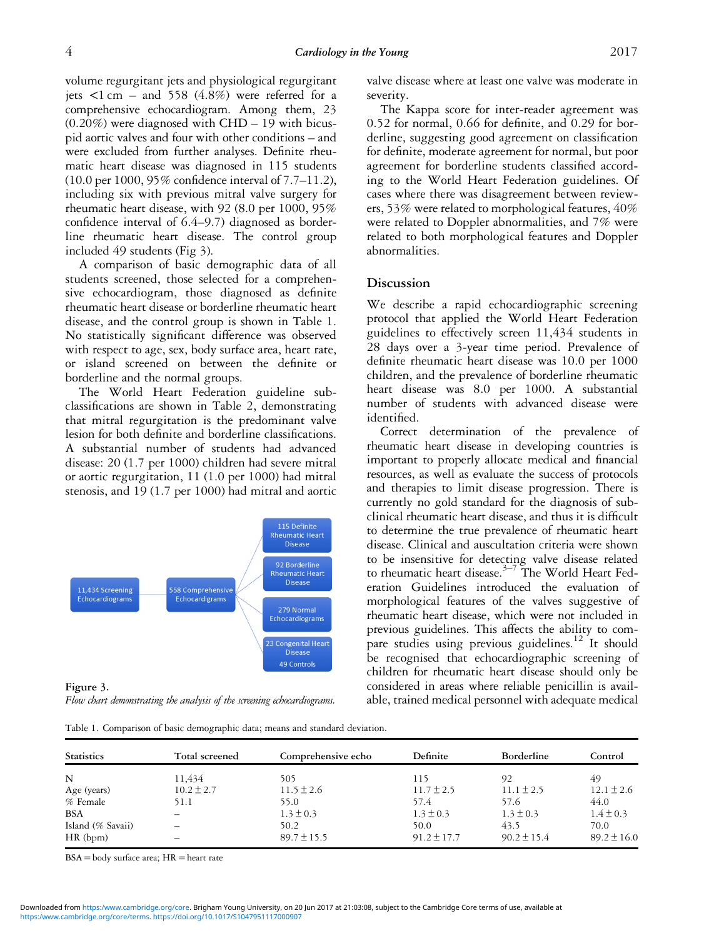volume regurgitant jets and physiological regurgitant jets  $\langle$ 1 cm – and 558 (4.8%) were referred for a comprehensive echocardiogram. Among them, 23  $(0.20\%)$  were diagnosed with CHD – 19 with bicuspid aortic valves and four with other conditions – and were excluded from further analyses. Definite rheumatic heart disease was diagnosed in 115 students (10.0 per 1000, 95% confidence interval of 7.7–11.2), including six with previous mitral valve surgery for rheumatic heart disease, with 92 (8.0 per 1000, 95% confidence interval of 6.4–9.7) diagnosed as borderline rheumatic heart disease. The control group included 49 students (Fig 3).

A comparison of basic demographic data of all students screened, those selected for a comprehensive echocardiogram, those diagnosed as definite rheumatic heart disease or borderline rheumatic heart disease, and the control group is shown in Table 1. No statistically significant difference was observed with respect to age, sex, body surface area, heart rate, or island screened on between the definite or borderline and the normal groups.

The World Heart Federation guideline subclassifications are shown in Table 2, demonstrating that mitral regurgitation is the predominant valve lesion for both definite and borderline classifications. A substantial number of students had advanced disease: 20 (1.7 per 1000) children had severe mitral or aortic regurgitation, 11 (1.0 per 1000) had mitral stenosis, and 19 (1.7 per 1000) had mitral and aortic



Figure 3. Flow chart demonstrating the analysis of the screening echocardiograms.

Table 1. Comparison of basic demographic data; means and standard deviation.

valve disease where at least one valve was moderate in severity.

The Kappa score for inter-reader agreement was 0.52 for normal, 0.66 for definite, and 0.29 for borderline, suggesting good agreement on classification for definite, moderate agreement for normal, but poor agreement for borderline students classified according to the World Heart Federation guidelines. Of cases where there was disagreement between reviewers, 53% were related to morphological features, 40% were related to Doppler abnormalities, and 7% were related to both morphological features and Doppler abnormalities.

#### Discussion

We describe a rapid echocardiographic screening protocol that applied the World Heart Federation guidelines to effectively screen 11,434 students in 28 days over a 3-year time period. Prevalence of definite rheumatic heart disease was 10.0 per 1000 children, and the prevalence of borderline rheumatic heart disease was 8.0 per 1000. A substantial number of students with advanced disease were identified.

Correct determination of the prevalence of rheumatic heart disease in developing countries is important to properly allocate medical and financial resources, as well as evaluate the success of protocols and therapies to limit disease progression. There is currently no gold standard for the diagnosis of subclinical rheumatic heart disease, and thus it is difficult to determine the true prevalence of rheumatic heart disease. Clinical and auscultation criteria were shown to be insensitive for detecting valve disease related to rheumatic heart disease.<sup>3–7</sup> The World Heart Federation Guidelines introduced the evaluation of morphological features of the valves suggestive of rheumatic heart disease, which were not included in previous guidelines. This affects the ability to compare studies using previous guidelines.<sup>12</sup> It should be recognised that echocardiographic screening of children for rheumatic heart disease should only be considered in areas where reliable penicillin is available, trained medical personnel with adequate medical

| <b>Statistics</b> | Total screened             | Comprehensive echo | Definite        | <b>Borderline</b> | Control         |
|-------------------|----------------------------|--------------------|-----------------|-------------------|-----------------|
| $\mathbf N$       | 11,434                     | 505                | 115             | 92                | 49              |
| Age (years)       | $10.2 \pm 2.7$             | $11.5 \pm 2.6$     | $11.7 \pm 2.5$  | $11.1 \pm 2.5$    | $12.1 \pm 2.6$  |
| % Female          | 51.1                       | 55.0               | 57.4            | 57.6              | 44.0            |
| <b>BSA</b>        | $\qquad \qquad \  \, -$    | $1.3 \pm 0.3$      | $1.3 \pm 0.3$   | $1.3 \pm 0.3$     | $1.4 \pm 0.3$   |
| Island (% Savaii) |                            | 50.2               | 50.0            | 43.5              | 70.0            |
| HR(bpm)           | $\qquad \qquad \  \  \, -$ | $89.7 \pm 15.5$    | $91.2 \pm 17.7$ | $90.2 \pm 15.4$   | $89.2 \pm 16.0$ |

 $BSA = body$  surface area;  $HR = heart$  rate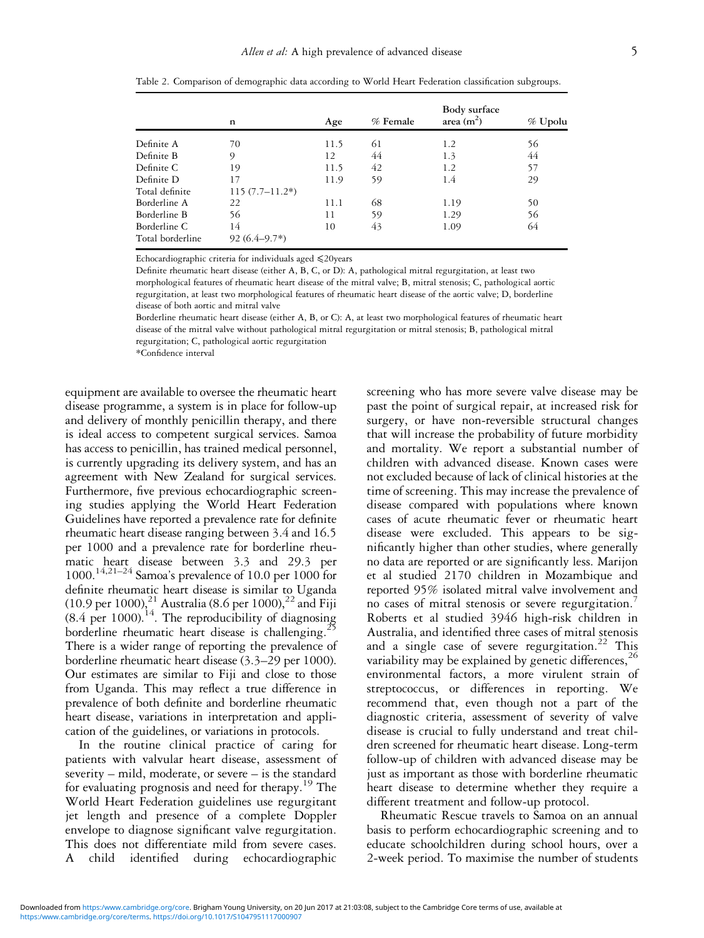|                  | $\mathbf n$      | Age  | $%$ Female | Body surface<br>area $(m2)$ | $%$ Upolu |
|------------------|------------------|------|------------|-----------------------------|-----------|
| Definite A       | 70               | 11.5 | 61         | 1.2                         | 56        |
| Definite B       | 9                | 12   | 44         | 1.3                         | 44        |
| Definite C       | 19               | 11.5 | 42         | 1.2                         | 57        |
| Definite D       | 17               | 11.9 | 59         | 1.4                         | 29        |
| Total definite   | $115(7.7-11.2*)$ |      |            |                             |           |
| Borderline A     | 22               | 11.1 | 68         | 1.19                        | 50        |
| Borderline B     | 56               | 11   | 59         | 1.29                        | 56        |
| Borderline C     | 14               | 10   | 43         | 1.09                        | 64        |
| Total borderline | $92(6.4-9.7*)$   |      |            |                             |           |

Table 2. Comparison of demographic data according to World Heart Federation classification subgroups.

Echocardiographic criteria for individuals aged ⩽20years

Definite rheumatic heart disease (either A, B, C, or D): A, pathological mitral regurgitation, at least two morphological features of rheumatic heart disease of the mitral valve; B, mitral stenosis; C, pathological aortic regurgitation, at least two morphological features of rheumatic heart disease of the aortic valve; D, borderline disease of both aortic and mitral valve

Borderline rheumatic heart disease (either A, B, or C): A, at least two morphological features of rheumatic heart disease of the mitral valve without pathological mitral regurgitation or mitral stenosis; B, pathological mitral regurgitation; C, pathological aortic regurgitation

\*Confidence interval

equipment are available to oversee the rheumatic heart disease programme, a system is in place for follow-up and delivery of monthly penicillin therapy, and there is ideal access to competent surgical services. Samoa has access to penicillin, has trained medical personnel, is currently upgrading its delivery system, and has an agreement with New Zealand for surgical services. Furthermore, five previous echocardiographic screening studies applying the World Heart Federation Guidelines have reported a prevalence rate for definite rheumatic heart disease ranging between 3.4 and 16.5 per 1000 and a prevalence rate for borderline rheumatic heart disease between 3.3 and 29.3 per 1000.14,21–<sup>24</sup> Samoa's prevalence of 10.0 per 1000 for definite rheumatic heart disease is similar to Uganda (10.9 per 1000),<sup>21</sup> Australia (8.6 per 1000),<sup>22</sup> and Fiji  $(8.4 \text{ per } 1000)$ .<sup>14</sup>. The reproducibility of diagnosing borderline rheumatic heart disease is challenging.<sup>2</sup> There is a wider range of reporting the prevalence of borderline rheumatic heart disease (3.3–29 per 1000). Our estimates are similar to Fiji and close to those from Uganda. This may reflect a true difference in prevalence of both definite and borderline rheumatic heart disease, variations in interpretation and application of the guidelines, or variations in protocols.

In the routine clinical practice of caring for patients with valvular heart disease, assessment of severity – mild, moderate, or severe – is the standard for evaluating prognosis and need for therapy.<sup>19</sup> The World Heart Federation guidelines use regurgitant jet length and presence of a complete Doppler envelope to diagnose significant valve regurgitation. This does not differentiate mild from severe cases. A child identified during echocardiographic

screening who has more severe valve disease may be past the point of surgical repair, at increased risk for surgery, or have non-reversible structural changes that will increase the probability of future morbidity and mortality. We report a substantial number of children with advanced disease. Known cases were not excluded because of lack of clinical histories at the time of screening. This may increase the prevalence of disease compared with populations where known cases of acute rheumatic fever or rheumatic heart disease were excluded. This appears to be significantly higher than other studies, where generally no data are reported or are significantly less. Marijon et al studied 2170 children in Mozambique and reported 95% isolated mitral valve involvement and no cases of mitral stenosis or severe regurgitation.<sup>7</sup> Roberts et al studied 3946 high-risk children in Australia, and identified three cases of mitral stenosis and a single case of severe regurgitation.<sup>22</sup> This variability may be explained by genetic differences,<sup>26</sup> environmental factors, a more virulent strain of streptococcus, or differences in reporting. We recommend that, even though not a part of the diagnostic criteria, assessment of severity of valve disease is crucial to fully understand and treat children screened for rheumatic heart disease. Long-term follow-up of children with advanced disease may be just as important as those with borderline rheumatic heart disease to determine whether they require a different treatment and follow-up protocol.

Rheumatic Rescue travels to Samoa on an annual basis to perform echocardiographic screening and to educate schoolchildren during school hours, over a 2-week period. To maximise the number of students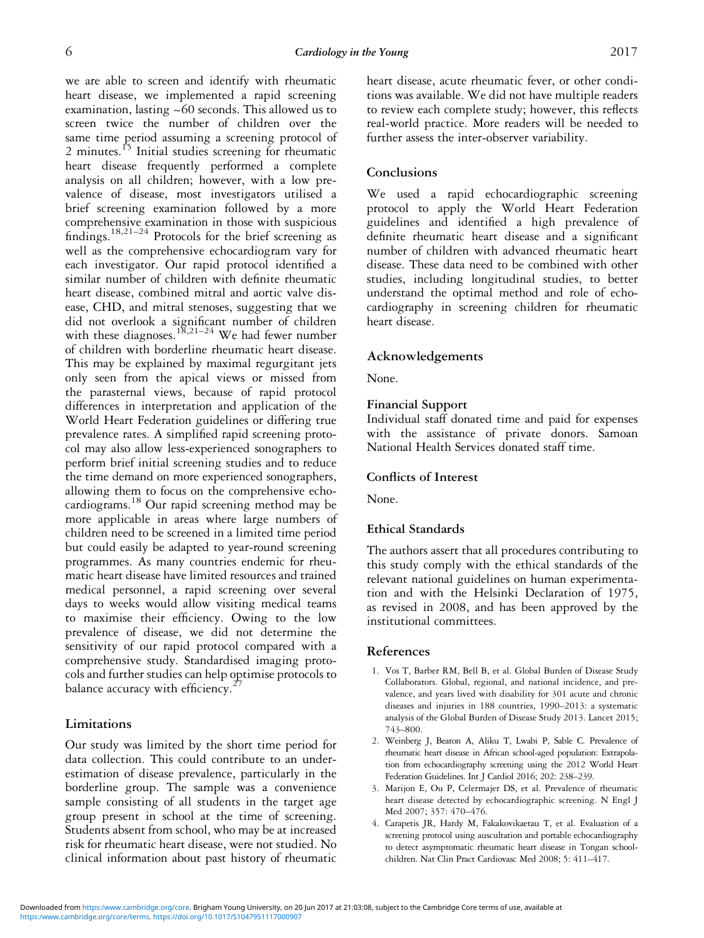we are able to screen and identify with rheumatic heart disease, we implemented a rapid screening examination, lasting  $\sim 60$  seconds. This allowed us to screen twice the number of children over the same time period assuming a screening protocol of 2 minutes.<sup>15</sup> Initial studies screening for rheumatic heart disease frequently performed a complete analysis on all children; however, with a low prevalence of disease, most investigators utilised a brief screening examination followed by a more comprehensive examination in those with suspicious findings.<sup>18,21–24</sup> Protocols for the brief screening as well as the comprehensive echocardiogram vary for each investigator. Our rapid protocol identified a similar number of children with definite rheumatic heart disease, combined mitral and aortic valve disease, CHD, and mitral stenoses, suggesting that we did not overlook a significant number of children with these diagnoses.<sup>18,21–24</sup> We had fewer number of children with borderline rheumatic heart disease. This may be explained by maximal regurgitant jets only seen from the apical views or missed from the parasternal views, because of rapid protocol differences in interpretation and application of the World Heart Federation guidelines or differing true prevalence rates. A simplified rapid screening protocol may also allow less-experienced sonographers to perform brief initial screening studies and to reduce the time demand on more experienced sonographers, allowing them to focus on the comprehensive echocardiograms.<sup>18</sup> Our rapid screening method may be more applicable in areas where large numbers of children need to be screened in a limited time period but could easily be adapted to year-round screening programmes. As many countries endemic for rheumatic heart disease have limited resources and trained medical personnel, a rapid screening over several days to weeks would allow visiting medical teams to maximise their efficiency. Owing to the low prevalence of disease, we did not determine the sensitivity of our rapid protocol compared with a comprehensive study. Standardised imaging protocols and further studies can help optimise protocols to balance accuracy with efficiency.<sup>2</sup>

# Limitations

Our study was limited by the short time period for data collection. This could contribute to an underestimation of disease prevalence, particularly in the borderline group. The sample was a convenience sample consisting of all students in the target age group present in school at the time of screening. Students absent from school, who may be at increased risk for rheumatic heart disease, were not studied. No clinical information about past history of rheumatic

heart disease, acute rheumatic fever, or other conditions was available. We did not have multiple readers to review each complete study; however, this reflects real-world practice. More readers will be needed to further assess the inter-observer variability.

# Conclusions

We used a rapid echocardiographic screening protocol to apply the World Heart Federation guidelines and identified a high prevalence of definite rheumatic heart disease and a significant number of children with advanced rheumatic heart disease. These data need to be combined with other studies, including longitudinal studies, to better understand the optimal method and role of echocardiography in screening children for rheumatic heart disease.

## Acknowledgements

None.

#### Financial Support

Individual staff donated time and paid for expenses with the assistance of private donors. Samoan National Health Services donated staff time.

## Conflicts of Interest

None.

## Ethical Standards

The authors assert that all procedures contributing to this study comply with the ethical standards of the relevant national guidelines on human experimentation and with the Helsinki Declaration of 1975, as revised in 2008, and has been approved by the institutional committees.

## References

- 1. Vos T, Barber RM, Bell B, et al. Global Burden of Disease Study Collaborators. Global, regional, and national incidence, and prevalence, and years lived with disability for 301 acute and chronic diseases and injuries in 188 countries, 1990–2013: a systematic analysis of the Global Burden of Disease Study 2013. Lancet 2015; 743–800.
- 2. Weinberg J, Beaton A, Aliku T, Lwabi P, Sable C. Prevalence of rheumatic heart disease in African school-aged population: Extrapolation from echocardiography screening using the 2012 World Heart Federation Guidelines. Int J Cardiol 2016; 202: 238–239.
- 3. Marijon E, Ou P, Celermajer DS, et al. Prevalence of rheumatic heart disease detected by echocardiographic screening. N Engl J Med 2007; 357: 470–476.
- 4. Carapetis JR, Hardy M, Fakakovikaetau T, et al. Evaluation of a screening protocol using auscultation and portable echocardiography to detect asymptomatic rheumatic heart disease in Tongan schoolchildren. Nat Clin Pract Cardiovasc Med 2008; 5: 411–417.